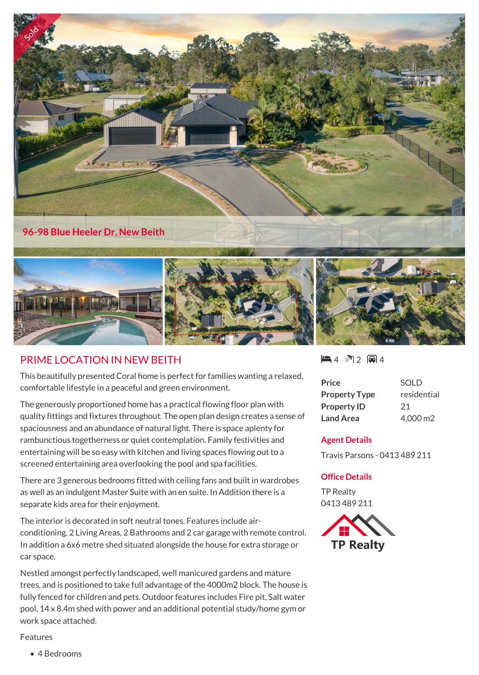

## PRIME LOCATION IN NEW BEITH

This beautifully presented Coral home is perfect for families wanting a relaxed, comfortable lifestyle in a peaceful and green environment.

The generously proportioned home has a practical flowing floor plan with quality fittings and fixtures throughout. The open plan design creates a sense of spaciousness and an abundance of natural light. There is space aplenty for rambunctious togetherness or quiet contemplation. Family festivities and entertaining will be so easy with kitchen and living spaces flowing out to a screened entertaining area overlooking the pool and spa facilities.

There are 3 generous bedrooms fitted with ceiling fans and built in wardrobes as well as an indulgent Master Suite with an en suite. In Addition there is a separate kids area for their enjoyment.

The interior is decorated in soft neutral tones. Features include airconditioning, 2 Living Areas, 2 Bathrooms and 2 car garage with remote control. In addition a 6x6 metre shed situated alongside the house for extra storage or car space.

Nestled amongst perfectly landscaped, well manicured gardens and mature trees, and is positioned to take full advantage of the 4000m2 block. The house is fully fenced for children and pets. Outdoor features includes Fire pit, Salt water pool, 14 x 8.4m shed with power and an additional potential study/home gym or work space attached.

 $-4$   $2$   $-4$ 

| <b>Price</b>         | <b>SOLD</b> |
|----------------------|-------------|
| <b>Property Type</b> | residential |
| <b>Property ID</b>   | 21          |
| <b>Land Area</b>     | 4,000 m2    |

## **Agent Details**

Travis Parsons - 0413 489 211

## **Office Details**

TP Realty 0413 489 211



Features

• 4 Bedrooms